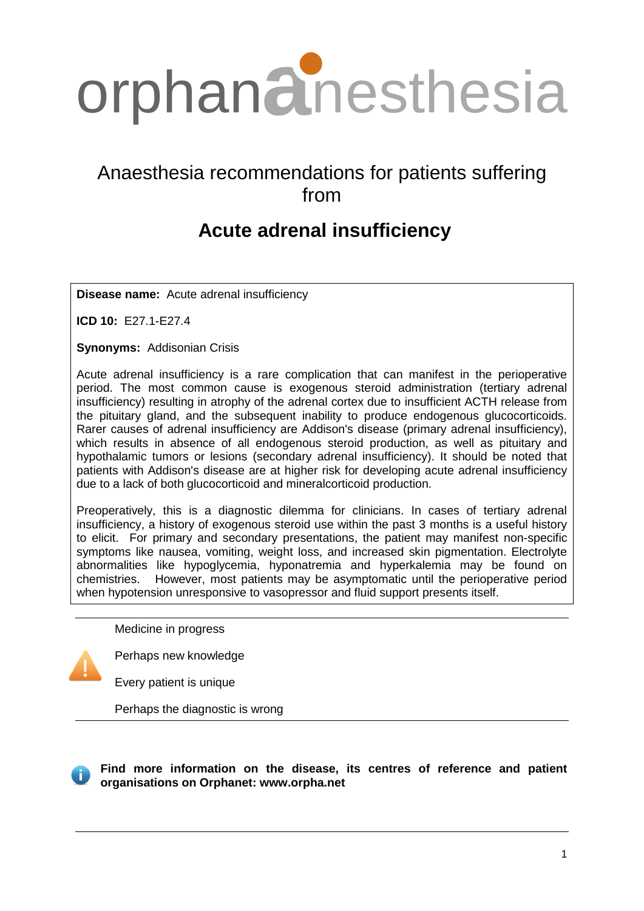

# Anaesthesia recommendations for patients suffering from

# **Acute adrenal insufficiency**

**Disease name:** Acute adrenal insufficiency

**ICD 10:** E27.1-E27.4

**Synonyms:** Addisonian Crisis

Acute adrenal insufficiency is a rare complication that can manifest in the perioperative period. The most common cause is exogenous steroid administration (tertiary adrenal insufficiency) resulting in atrophy of the adrenal cortex due to insufficient ACTH release from the pituitary gland, and the subsequent inability to produce endogenous glucocorticoids. Rarer causes of adrenal insufficiency are Addison's disease (primary adrenal insufficiency), which results in absence of all endogenous steroid production, as well as pituitary and hypothalamic tumors or lesions (secondary adrenal insufficiency). It should be noted that patients with Addison's disease are at higher risk for developing acute adrenal insufficiency due to a lack of both glucocorticoid and mineralcorticoid production.

Preoperatively, this is a diagnostic dilemma for clinicians. In cases of tertiary adrenal insufficiency, a history of exogenous steroid use within the past 3 months is a useful history to elicit. For primary and secondary presentations, the patient may manifest non-specific symptoms like nausea, vomiting, weight loss, and increased skin pigmentation. Electrolyte abnormalities like hypoglycemia, hyponatremia and hyperkalemia may be found on chemistries. However, most patients may be asymptomatic until the perioperative period when hypotension unresponsive to vasopressor and fluid support presents itself.

Medicine in progress



Perhaps new knowledge

Every patient is unique

Perhaps the diagnostic is wrong



## **Find more information on the disease, its centres of reference and patient organisations on Orphanet: www.orpha.net**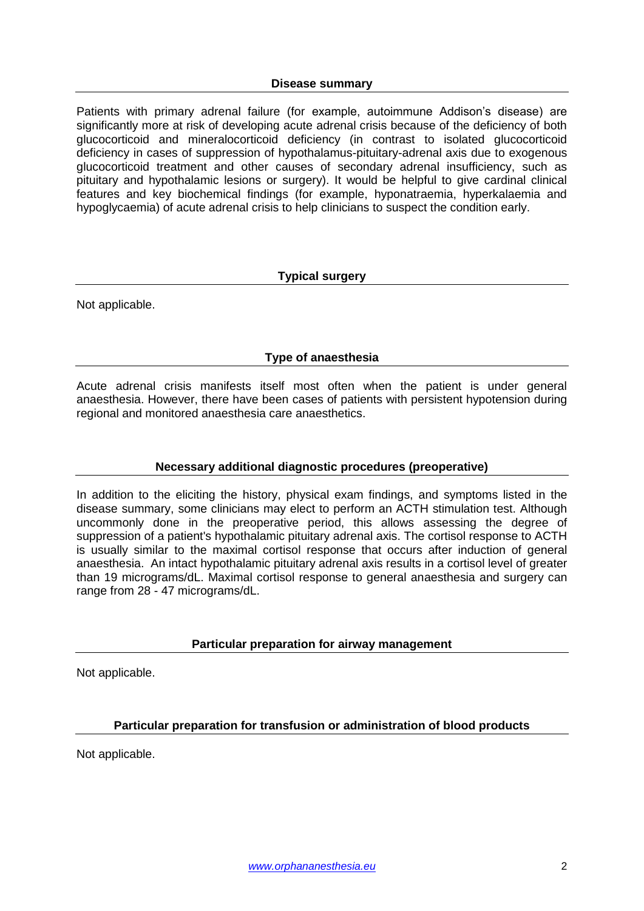#### **Disease summary**

Patients with primary adrenal failure (for example, autoimmune Addison's disease) are significantly more at risk of developing acute adrenal crisis because of the deficiency of both glucocorticoid and mineralocorticoid deficiency (in contrast to isolated glucocorticoid deficiency in cases of suppression of hypothalamus-pituitary-adrenal axis due to exogenous glucocorticoid treatment and other causes of secondary adrenal insufficiency, such as pituitary and hypothalamic lesions or surgery). It would be helpful to give cardinal clinical features and key biochemical findings (for example, hyponatraemia, hyperkalaemia and hypoglycaemia) of acute adrenal crisis to help clinicians to suspect the condition early.

## **Typical surgery**

Not applicable.

## **Type of anaesthesia**

Acute adrenal crisis manifests itself most often when the patient is under general anaesthesia. However, there have been cases of patients with persistent hypotension during regional and monitored anaesthesia care anaesthetics.

## **Necessary additional diagnostic procedures (preoperative)**

In addition to the eliciting the history, physical exam findings, and symptoms listed in the disease summary, some clinicians may elect to perform an ACTH stimulation test. Although uncommonly done in the preoperative period, this allows assessing the degree of suppression of a patient's hypothalamic pituitary adrenal axis. The cortisol response to ACTH is usually similar to the maximal cortisol response that occurs after induction of general anaesthesia. An intact hypothalamic pituitary adrenal axis results in a cortisol level of greater than 19 micrograms/dL. Maximal cortisol response to general anaesthesia and surgery can range from 28 - 47 micrograms/dL.

## **Particular preparation for airway management**

Not applicable.

## **Particular preparation for transfusion or administration of blood products**

Not applicable.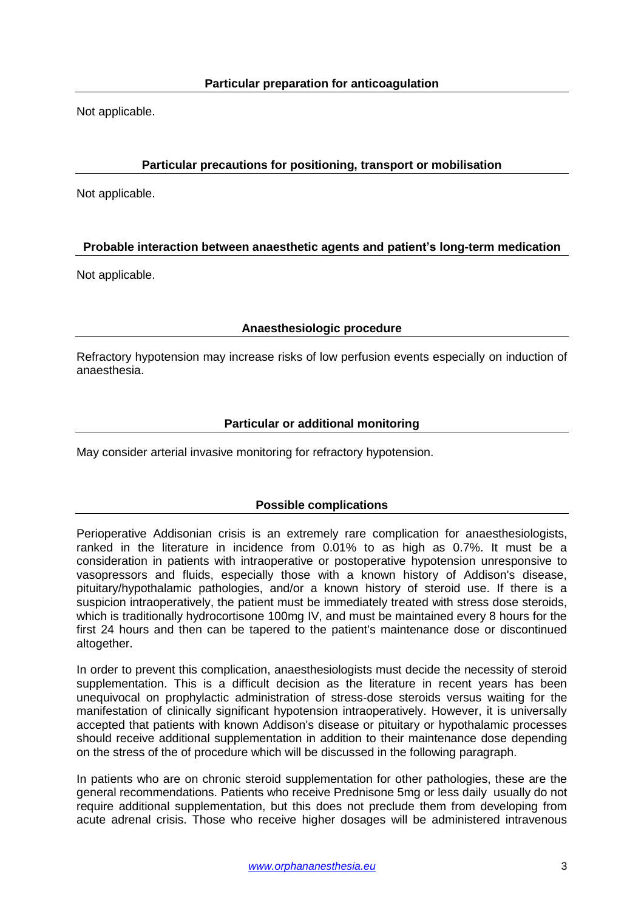Not applicable.

## **Particular precautions for positioning, transport or mobilisation**

Not applicable.

## **Probable interaction between anaesthetic agents and patient's long-term medication**

Not applicable.

## **Anaesthesiologic procedure**

Refractory hypotension may increase risks of low perfusion events especially on induction of anaesthesia.

## **Particular or additional monitoring**

May consider arterial invasive monitoring for refractory hypotension.

## **Possible complications**

Perioperative Addisonian crisis is an extremely rare complication for anaesthesiologists, ranked in the literature in incidence from 0.01% to as high as 0.7%. It must be a consideration in patients with intraoperative or postoperative hypotension unresponsive to vasopressors and fluids, especially those with a known history of Addison's disease, pituitary/hypothalamic pathologies, and/or a known history of steroid use. If there is a suspicion intraoperatively, the patient must be immediately treated with stress dose steroids, which is traditionally hydrocortisone 100mg IV, and must be maintained every 8 hours for the first 24 hours and then can be tapered to the patient's maintenance dose or discontinued altogether.

In order to prevent this complication, anaesthesiologists must decide the necessity of steroid supplementation. This is a difficult decision as the literature in recent years has been unequivocal on prophylactic administration of stress-dose steroids versus waiting for the manifestation of clinically significant hypotension intraoperatively. However, it is universally accepted that patients with known Addison's disease or pituitary or hypothalamic processes should receive additional supplementation in addition to their maintenance dose depending on the stress of the of procedure which will be discussed in the following paragraph.

In patients who are on chronic steroid supplementation for other pathologies, these are the general recommendations. Patients who receive Prednisone 5mg or less daily usually do not require additional supplementation, but this does not preclude them from developing from acute adrenal crisis. Those who receive higher dosages will be administered intravenous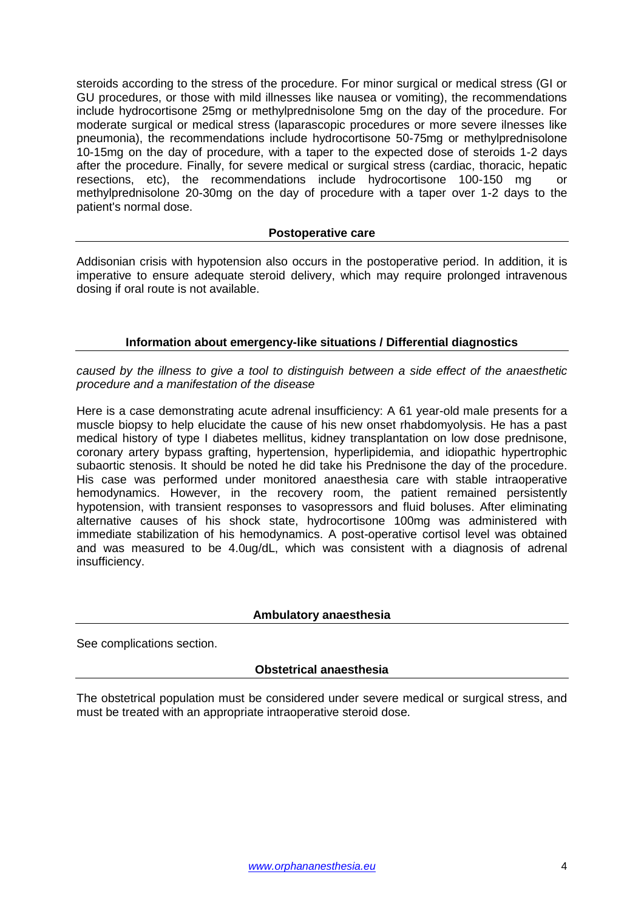steroids according to the stress of the procedure. For minor surgical or medical stress (GI or GU procedures, or those with mild illnesses like nausea or vomiting), the recommendations include hydrocortisone 25mg or methylprednisolone 5mg on the day of the procedure. For moderate surgical or medical stress (laparascopic procedures or more severe ilnesses like pneumonia), the recommendations include hydrocortisone 50-75mg or methylprednisolone 10-15mg on the day of procedure, with a taper to the expected dose of steroids 1-2 days after the procedure. Finally, for severe medical or surgical stress (cardiac, thoracic, hepatic resections, etc), the recommendations include hydrocortisone 100-150 mg or methylprednisolone 20-30mg on the day of procedure with a taper over 1-2 days to the patient's normal dose.

#### **Postoperative care**

Addisonian crisis with hypotension also occurs in the postoperative period. In addition, it is imperative to ensure adequate steroid delivery, which may require prolonged intravenous dosing if oral route is not available.

#### **Information about emergency-like situations / Differential diagnostics**

*caused by the illness to give a tool to distinguish between a side effect of the anaesthetic procedure and a manifestation of the disease*

Here is a case demonstrating acute adrenal insufficiency: A 61 year-old male presents for a muscle biopsy to help elucidate the cause of his new onset rhabdomyolysis. He has a past medical history of type I diabetes mellitus, kidney transplantation on low dose prednisone, coronary artery bypass grafting, hypertension, hyperlipidemia, and idiopathic hypertrophic subaortic stenosis. It should be noted he did take his Prednisone the day of the procedure. His case was performed under monitored anaesthesia care with stable intraoperative hemodynamics. However, in the recovery room, the patient remained persistently hypotension, with transient responses to vasopressors and fluid boluses. After eliminating alternative causes of his shock state, hydrocortisone 100mg was administered with immediate stabilization of his hemodynamics. A post-operative cortisol level was obtained and was measured to be 4.0ug/dL, which was consistent with a diagnosis of adrenal insufficiency.

#### **Ambulatory anaesthesia**

See complications section.

#### **Obstetrical anaesthesia**

The obstetrical population must be considered under severe medical or surgical stress, and must be treated with an appropriate intraoperative steroid dose.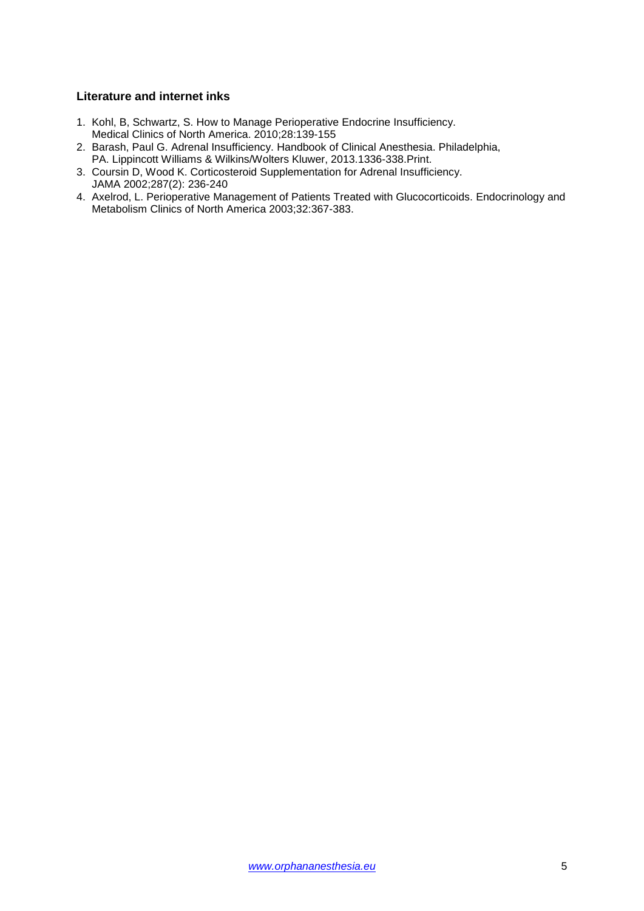#### **Literature and internet inks**

- 1. Kohl, B, Schwartz, S. How to Manage Perioperative Endocrine Insufficiency. Medical Clinics of North America. 2010;28:139-155
- 2. Barash, Paul G. Adrenal Insufficiency. Handbook of Clinical Anesthesia. Philadelphia,
- PA. Lippincott Williams & Wilkins/Wolters Kluwer, 2013.1336-338.Print. 3. Coursin D, Wood K. Corticosteroid Supplementation for Adrenal Insufficiency.
- JAMA 2002;287(2): 236-240
- 4. Axelrod, L. Perioperative Management of Patients Treated with Glucocorticoids. Endocrinology and Metabolism Clinics of North America 2003;32:367-383.